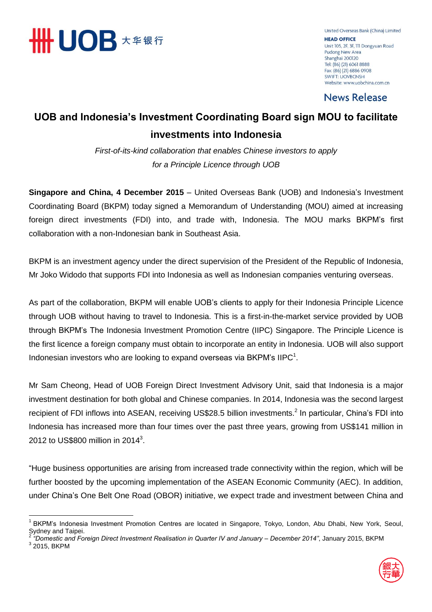

United Overseas Bank (China) Limited **HEAD OFFICE** Unit 105, 2F, 3F, 111 Dongyuan Road Pudong New Area Shanghai 200120 Tel: (86) (21) 6061 8888 Fax: (86) (21) 6886 0908 **SWIFT: UOVBCNSH** Website: www.uobchina.com.cn

**News Release** 

## **UOB and Indonesia's Investment Coordinating Board sign MOU to facilitate investments into Indonesia**

*First-of-its-kind collaboration that enables Chinese investors to apply for a Principle Licence through UOB*

**Singapore and China, 4 December 2015** – United Overseas Bank (UOB) and Indonesia's Investment Coordinating Board (BKPM) today signed a Memorandum of Understanding (MOU) aimed at increasing foreign direct investments (FDI) into, and trade with, Indonesia. The MOU marks BKPM's first collaboration with a non-Indonesian bank in Southeast Asia.

BKPM is an investment agency under the direct supervision of the President of the Republic of Indonesia, Mr Joko Widodo that supports FDI into Indonesia as well as Indonesian companies venturing overseas.

As part of the collaboration, BKPM will enable UOB's clients to apply for their Indonesia Principle Licence through UOB without having to travel to Indonesia. This is a first-in-the-market service provided by UOB through BKPM's The Indonesia Investment Promotion Centre (IIPC) Singapore. The Principle Licence is the first licence a foreign company must obtain to incorporate an entity in Indonesia. UOB will also support Indonesian investors who are looking to expand overseas via BKPM's IIPC $^1$ .

Mr Sam Cheong, Head of UOB Foreign Direct Investment Advisory Unit, said that Indonesia is a major investment destination for both global and Chinese companies. In 2014, Indonesia was the second largest recipient of FDI inflows into ASEAN, receiving US\$28.5 billion investments.<sup>2</sup> In particular, China's FDI into Indonesia has increased more than four times over the past three years, growing from US\$141 million in 2012 to US\$800 million in 2014<sup>3</sup>.

"Huge business opportunities are arising from increased trade connectivity within the region, which will be further boosted by the upcoming implementation of the ASEAN Economic Community (AEC). In addition, under China's One Belt One Road (OBOR) initiative, we expect trade and investment between China and

 $\overline{\phantom{a}}$ 



<sup>&</sup>lt;sup>1</sup> BKPM's Indonesia Investment Promotion Centres are located in Singapore, Tokyo, London, Abu Dhabi, New York, Seoul, Sydney and Taipei.<br><sup>2</sup> "Domestic and Eo

*<sup>&</sup>quot;Domestic and Foreign Direct Investment Realisation in Quarter IV and January – December 2014"*, January 2015, BKPM

 $^3$  2015, BKPM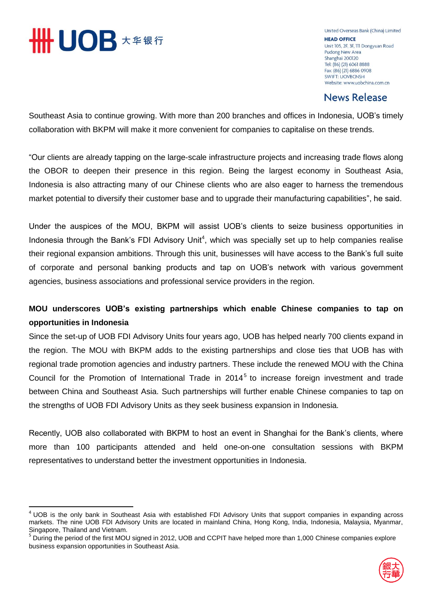# **# UOB X # \$ 5**

 $\overline{\phantom{a}}$ 

United Overseas Bank (China) Limited **HEAD OFFICE** Unit 105, 2F, 3F, 111 Dongyuan Road Pudong New Area Shanghai 200120 Tel: (86) (21) 6061 8888 Fax: (86) (21) 6886 0908 **SWIFT: UOVBCNSH** Website: www.uobchina.com.cn

## **News Release**

Southeast Asia to continue growing. With more than 200 branches and offices in Indonesia, UOB's timely collaboration with BKPM will make it more convenient for companies to capitalise on these trends.

"Our clients are already tapping on the large-scale infrastructure projects and increasing trade flows along the OBOR to deepen their presence in this region. Being the largest economy in Southeast Asia, Indonesia is also attracting many of our Chinese clients who are also eager to harness the tremendous market potential to diversify their customer base and to upgrade their manufacturing capabilities", he said.

Under the auspices of the MOU, BKPM will assist UOB's clients to seize business opportunities in Indonesia through the Bank's FDI Advisory Unit<sup>4</sup>, which was specially set up to help companies realise their regional expansion ambitions. Through this unit, businesses will have access to the Bank's full suite of corporate and personal banking products and tap on UOB's network with various government agencies, business associations and professional service providers in the region.

### **MOU underscores UOB's existing partnerships which enable Chinese companies to tap on opportunities in Indonesia**

Since the set-up of UOB FDI Advisory Units four years ago, UOB has helped nearly 700 clients expand in the region. The MOU with BKPM adds to the existing partnerships and close ties that UOB has with regional trade promotion agencies and industry partners. These include the renewed MOU with the China Council for the Promotion of International Trade in 2014<sup>5</sup> to increase foreign investment and trade between China and Southeast Asia. Such partnerships will further enable Chinese companies to tap on the strengths of UOB FDI Advisory Units as they seek business expansion in Indonesia.

Recently, UOB also collaborated with BKPM to host an event in Shanghai for the Bank's clients, where more than 100 participants attended and held one-on-one consultation sessions with BKPM representatives to understand better the investment opportunities in Indonesia.

<sup>&</sup>lt;sup>5</sup> During the period of the first MOU signed in 2012, UOB and CCPIT have helped more than 1,000 Chinese companies explore business expansion opportunities in Southeast Asia.



 $4$  UOB is the only bank in Southeast Asia with established FDI Advisory Units that support companies in expanding across markets. The nine UOB FDI Advisory Units are located in mainland China, Hong Kong, India, Indonesia, Malaysia, Myanmar, Singapore, Thailand and Vietnam.